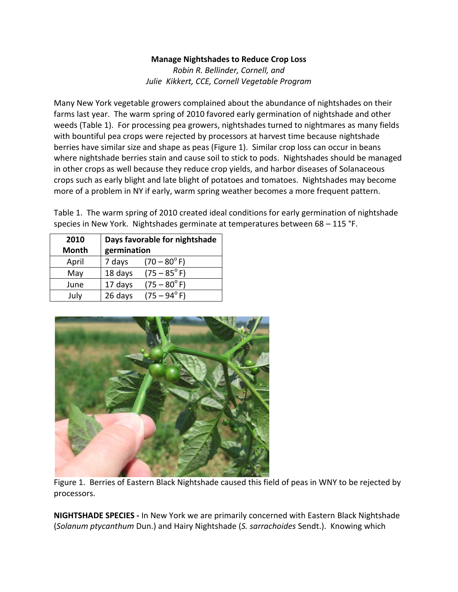### **Manage Nightshades to Reduce Crop Loss**

*Robin R. Bellinder, Cornell, and Julie Kikkert, CCE, Cornell Vegetable Program*

Many New York vegetable growers complained about the abundance of nightshades on their farms last year. The warm spring of 2010 favored early germination of nightshade and other weeds (Table 1). For processing pea growers, nightshades turned to nightmares as many fields with bountiful pea crops were rejected by processors at harvest time because nightshade berries have similar size and shape as peas (Figure 1). Similar crop loss can occur in beans where nightshade berries stain and cause soil to stick to pods. Nightshades should be managed in other crops as well because they reduce crop yields, and harbor diseases of Solanaceous crops such as early blight and late blight of potatoes and tomatoes. Nightshades may become more of a problem in NY if early, warm spring weather becomes a more frequent pattern.

Table 1. The warm spring of 2010 created ideal conditions for early germination of nightshade species in New York. Nightshades germinate at temperatures between 68 – 115 °F.

| 2010<br><b>Month</b> | Days favorable for nightshade<br>germination |                       |  |
|----------------------|----------------------------------------------|-----------------------|--|
| April                | 7 days                                       | $(70 - 80^{\circ} F)$ |  |
| May                  | 18 days                                      | $(75 - 85^{\circ} F)$ |  |
| June                 | 17 days                                      | $(75 - 80^{\circ} F)$ |  |
| July                 | 26 days                                      | $(75 - 94^{\circ} F)$ |  |



Figure 1. Berries of Eastern Black Nightshade caused this field of peas in WNY to be rejected by processors.

**NIGHTSHADE SPECIES -** In New York we are primarily concerned with Eastern Black Nightshade (*Solanum ptycanthum* Dun.) and Hairy Nightshade (*S. sarrachoides* Sendt.). Knowing which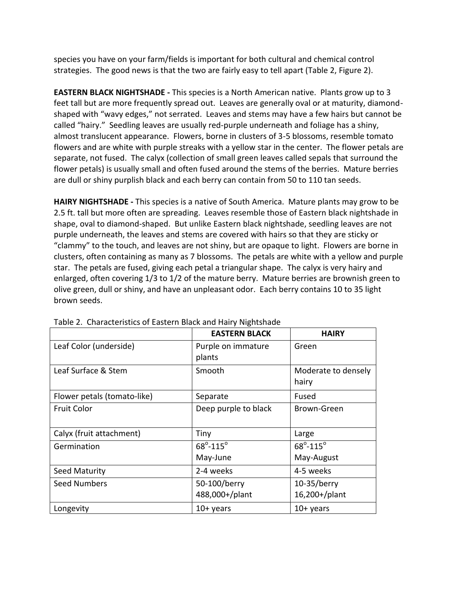species you have on your farm/fields is important for both cultural and chemical control strategies. The good news is that the two are fairly easy to tell apart (Table 2, Figure 2).

**EASTERN BLACK NIGHTSHADE -** This species is a North American native. Plants grow up to 3 feet tall but are more frequently spread out. Leaves are generally oval or at maturity, diamondshaped with "wavy edges," not serrated. Leaves and stems may have a few hairs but cannot be called "hairy." Seedling leaves are usually red-purple underneath and foliage has a shiny, almost translucent appearance. Flowers, borne in clusters of 3-5 blossoms, resemble tomato flowers and are white with purple streaks with a yellow star in the center. The flower petals are separate, not fused. The calyx (collection of small green leaves called sepals that surround the flower petals) is usually small and often fused around the stems of the berries. Mature berries are dull or shiny purplish black and each berry can contain from 50 to 110 tan seeds.

**HAIRY NIGHTSHADE -** This species is a native of South America. Mature plants may grow to be 2.5 ft. tall but more often are spreading. Leaves resemble those of Eastern black nightshade in shape, oval to diamond-shaped. But unlike Eastern black nightshade, seedling leaves are not purple underneath, the leaves and stems are covered with hairs so that they are sticky or "clammy" to the touch, and leaves are not shiny, but are opaque to light. Flowers are borne in clusters, often containing as many as 7 blossoms. The petals are white with a yellow and purple star. The petals are fused, giving each petal a triangular shape. The calyx is very hairy and enlarged, often covering 1/3 to 1/2 of the mature berry. Mature berries are brownish green to olive green, dull or shiny, and have an unpleasant odor. Each berry contains 10 to 35 light brown seeds.

|                             | <b>EASTERN BLACK</b>           | <b>HAIRY</b>                    |  |  |
|-----------------------------|--------------------------------|---------------------------------|--|--|
| Leaf Color (underside)      | Purple on immature<br>plants   | Green                           |  |  |
| Leaf Surface & Stem         | Smooth                         | Moderate to densely<br>hairy    |  |  |
| Flower petals (tomato-like) | Separate                       | Fused                           |  |  |
| <b>Fruit Color</b>          | Deep purple to black           | Brown-Green                     |  |  |
| Calyx (fruit attachment)    | Tiny                           | Large                           |  |  |
| Germination                 | $68^{\circ} - 115^{\circ}$     | $68^{\circ} - 115^{\circ}$      |  |  |
|                             | May-June                       | May-August                      |  |  |
| Seed Maturity               | 2-4 weeks                      | 4-5 weeks                       |  |  |
| <b>Seed Numbers</b>         | 50-100/berry<br>488,000+/plant | $10-35/b$ erry<br>16,200+/plant |  |  |
| Longevity                   | $10+$ years                    | $10+$ years                     |  |  |

Table 2. Characteristics of Eastern Black and Hairy Nightshade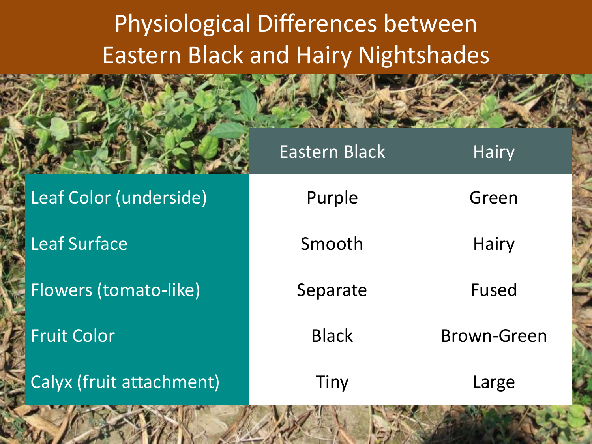# Physiological Differences between Eastern Black and Hairy Nightshades

|                          | <b>Eastern Black</b> | <b>Hairy</b>       |
|--------------------------|----------------------|--------------------|
| Leaf Color (underside)   | Purple               | Green              |
| <b>Leaf Surface</b>      | Smooth               | Hairy              |
| Flowers (tomato-like)    | Separate             | Fused              |
| <b>Fruit Color</b>       | <b>Black</b>         | <b>Brown-Green</b> |
| Calyx (fruit attachment) | Tiny                 | Large              |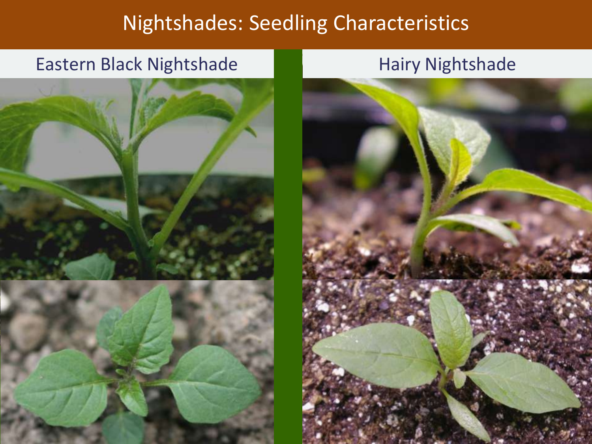## Nightshades: Seedling Characteristics

### Eastern Black Nightshade Hairy Nightshade



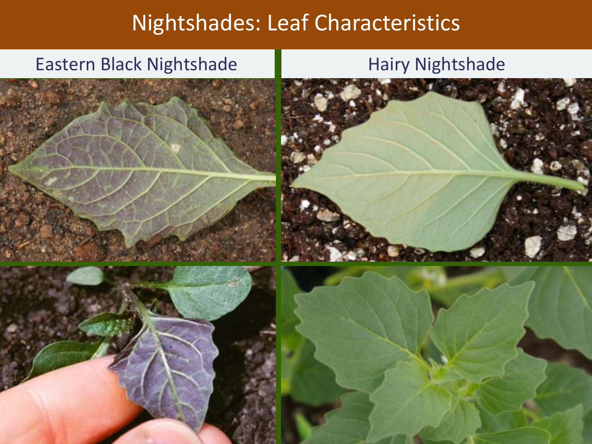# Nightshades: Leaf Characteristics

### Eastern Black Nightshade Hairy Nightshade







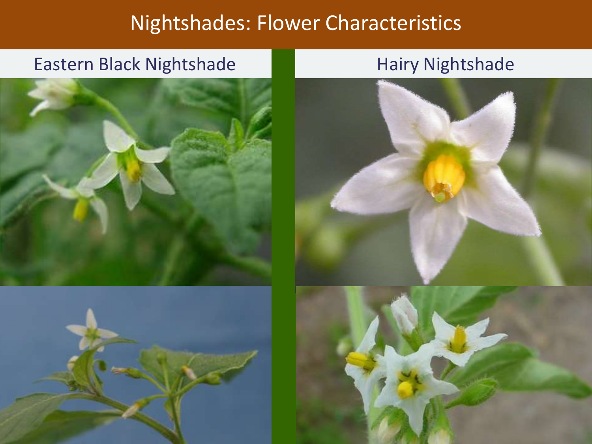### Nightshades: Flower Characteristics

### Eastern Black Nightshade Hairy Nightshade



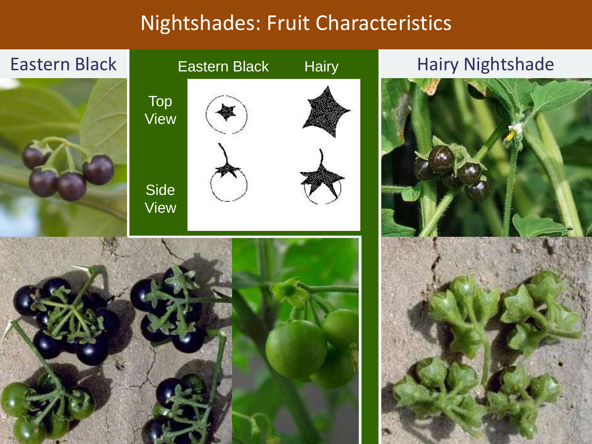## Nightshades: Fruit Characteristics

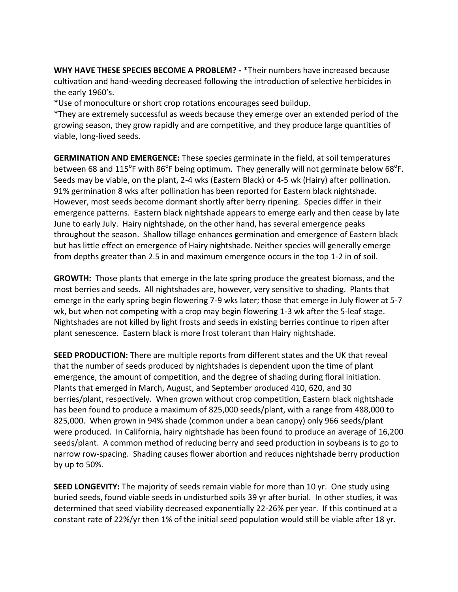**WHY HAVE THESE SPECIES BECOME A PROBLEM? -** \*Their numbers have increased because cultivation and hand-weeding decreased following the introduction of selective herbicides in the early 1960's.

\*Use of monoculture or short crop rotations encourages seed buildup.

\*They are extremely successful as weeds because they emerge over an extended period of the growing season, they grow rapidly and are competitive, and they produce large quantities of viable, long-lived seeds.

**GERMINATION AND EMERGENCE:** These species germinate in the field, at soil temperatures between 68 and 115<sup>o</sup>F with 86<sup>o</sup>F being optimum. They generally will not germinate below 68<sup>o</sup>F. Seeds may be viable, on the plant, 2-4 wks (Eastern Black) or 4-5 wk (Hairy) after pollination. 91% germination 8 wks after pollination has been reported for Eastern black nightshade. However, most seeds become dormant shortly after berry ripening. Species differ in their emergence patterns. Eastern black nightshade appears to emerge early and then cease by late June to early July. Hairy nightshade, on the other hand, has several emergence peaks throughout the season. Shallow tillage enhances germination and emergence of Eastern black but has little effect on emergence of Hairy nightshade. Neither species will generally emerge from depths greater than 2.5 in and maximum emergence occurs in the top 1-2 in of soil.

**GROWTH:** Those plants that emerge in the late spring produce the greatest biomass, and the most berries and seeds. All nightshades are, however, very sensitive to shading. Plants that emerge in the early spring begin flowering 7-9 wks later; those that emerge in July flower at 5-7 wk, but when not competing with a crop may begin flowering 1-3 wk after the 5-leaf stage. Nightshades are not killed by light frosts and seeds in existing berries continue to ripen after plant senescence. Eastern black is more frost tolerant than Hairy nightshade.

**SEED PRODUCTION:** There are multiple reports from different states and the UK that reveal that the number of seeds produced by nightshades is dependent upon the time of plant emergence, the amount of competition, and the degree of shading during floral initiation. Plants that emerged in March, August, and September produced 410, 620, and 30 berries/plant, respectively. When grown without crop competition, Eastern black nightshade has been found to produce a maximum of 825,000 seeds/plant, with a range from 488,000 to 825,000. When grown in 94% shade (common under a bean canopy) only 966 seeds/plant were produced. In California, hairy nightshade has been found to produce an average of 16,200 seeds/plant. A common method of reducing berry and seed production in soybeans is to go to narrow row-spacing. Shading causes flower abortion and reduces nightshade berry production by up to 50%.

**SEED LONGEVITY:** The majority of seeds remain viable for more than 10 yr. One study using buried seeds, found viable seeds in undisturbed soils 39 yr after burial. In other studies, it was determined that seed viability decreased exponentially 22-26% per year. If this continued at a constant rate of 22%/yr then 1% of the initial seed population would still be viable after 18 yr.